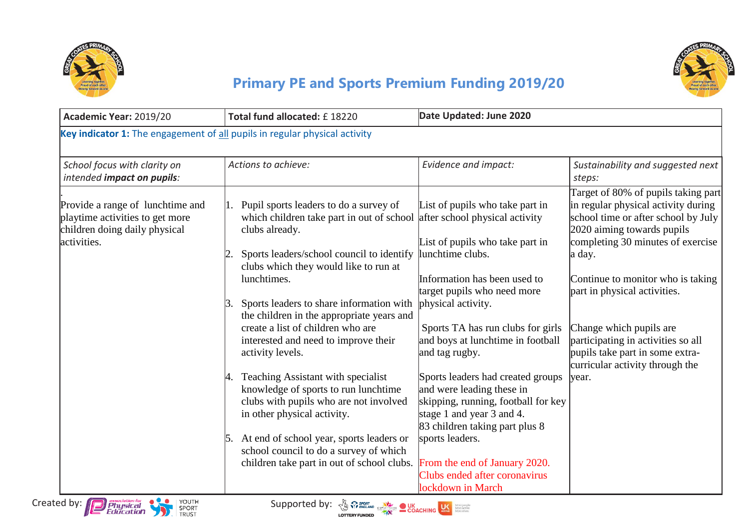



## **Primary PE and Sports Premium Funding 2019/20**

| Academic Year: 2019/20                                                                                              | Date Updated: June 2020<br>Total fund allocated: £18220                                                                                                                                                                                                                                                                                                                                                                                                                                                                                                                                                                                                                                                            |                                                                                                                                                                                                                                                                                                                                                                                                                                                                                                                                                                                             |                                                                                                                                                                                                                                                                                                                                                                                                                     |  |
|---------------------------------------------------------------------------------------------------------------------|--------------------------------------------------------------------------------------------------------------------------------------------------------------------------------------------------------------------------------------------------------------------------------------------------------------------------------------------------------------------------------------------------------------------------------------------------------------------------------------------------------------------------------------------------------------------------------------------------------------------------------------------------------------------------------------------------------------------|---------------------------------------------------------------------------------------------------------------------------------------------------------------------------------------------------------------------------------------------------------------------------------------------------------------------------------------------------------------------------------------------------------------------------------------------------------------------------------------------------------------------------------------------------------------------------------------------|---------------------------------------------------------------------------------------------------------------------------------------------------------------------------------------------------------------------------------------------------------------------------------------------------------------------------------------------------------------------------------------------------------------------|--|
| Key indicator 1: The engagement of all pupils in regular physical activity                                          |                                                                                                                                                                                                                                                                                                                                                                                                                                                                                                                                                                                                                                                                                                                    |                                                                                                                                                                                                                                                                                                                                                                                                                                                                                                                                                                                             |                                                                                                                                                                                                                                                                                                                                                                                                                     |  |
| School focus with clarity on<br>intended impact on pupils:                                                          | Actions to achieve:                                                                                                                                                                                                                                                                                                                                                                                                                                                                                                                                                                                                                                                                                                | Evidence and impact:                                                                                                                                                                                                                                                                                                                                                                                                                                                                                                                                                                        | Sustainability and suggested next<br>steps:                                                                                                                                                                                                                                                                                                                                                                         |  |
| Provide a range of lunchtime and<br>playtime activities to get more<br>children doing daily physical<br>activities. | Pupil sports leaders to do a survey of<br>which children take part in out of school<br>clubs already.<br>Sports leaders/school council to identify<br>clubs which they would like to run at<br>lunchtimes.<br>Sports leaders to share information with<br>3.<br>the children in the appropriate years and<br>create a list of children who are<br>interested and need to improve their<br>activity levels.<br>Teaching Assistant with specialist<br>4.<br>knowledge of sports to run lunchtime<br>clubs with pupils who are not involved<br>in other physical activity.<br>At end of school year, sports leaders or<br>15.<br>school council to do a survey of which<br>children take part in out of school clubs. | List of pupils who take part in<br>after school physical activity<br>List of pupils who take part in<br>lunchtime clubs.<br>Information has been used to<br>target pupils who need more<br>physical activity.<br>Sports TA has run clubs for girls<br>and boys at lunchtime in football<br>and tag rugby.<br>Sports leaders had created groups<br>and were leading these in<br>skipping, running, football for key<br>stage 1 and year 3 and 4.<br>83 children taking part plus 8<br>sports leaders.<br>From the end of January 2020.<br>Clubs ended after coronavirus<br>lockdown in March | Target of 80% of pupils taking part<br>in regular physical activity during<br>school time or after school by July<br>2020 aiming towards pupils<br>completing 30 minutes of exercise<br>a day.<br>Continue to monitor who is taking<br>part in physical activities.<br>Change which pupils are<br>participating in activities so all<br>pupils take part in some extra-<br>curricular activity through the<br>year. |  |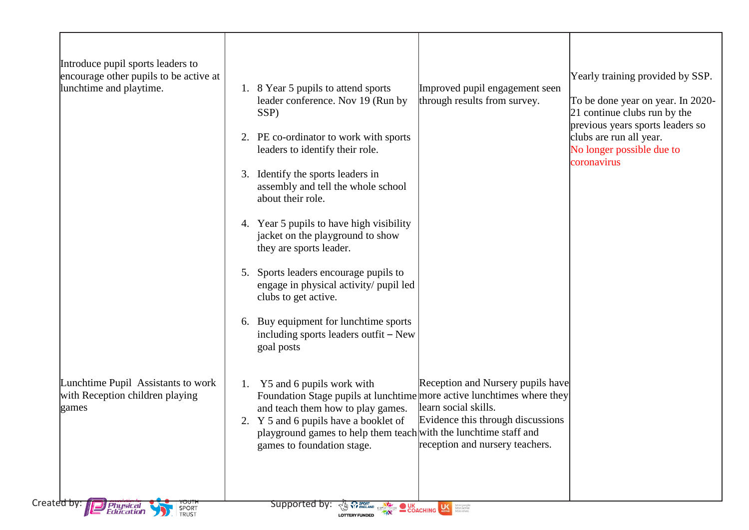| encourage other pupils to be active at<br>lunchtime and playtime.              | Yearly training provided by SSP.<br>8 Year 5 pupils to attend sports<br>Improved pupil engagement seen<br>1.<br>through results from survey.<br>leader conference. Nov 19 (Run by<br>To be done year on year. In 2020-<br>21 continue clubs run by the<br>SSP)<br>previous years sports leaders so<br>2. PE co-ordinator to work with sports<br>clubs are run all year.<br>No longer possible due to<br>leaders to identify their role.<br>coronavirus<br>Identify the sports leaders in<br>3.<br>assembly and tell the whole school<br>about their role.<br>4. Year 5 pupils to have high visibility<br>jacket on the playground to show<br>they are sports leader.<br>5. Sports leaders encourage pupils to<br>engage in physical activity/ pupil led<br>clubs to get active.<br>Buy equipment for lunchtime sports<br>6.<br>including sports leaders outfit – New<br>goal posts |
|--------------------------------------------------------------------------------|------------------------------------------------------------------------------------------------------------------------------------------------------------------------------------------------------------------------------------------------------------------------------------------------------------------------------------------------------------------------------------------------------------------------------------------------------------------------------------------------------------------------------------------------------------------------------------------------------------------------------------------------------------------------------------------------------------------------------------------------------------------------------------------------------------------------------------------------------------------------------------|
| Lunchtime Pupil Assistants to work<br>with Reception children playing<br>games | Reception and Nursery pupils have<br>1. Y5 and 6 pupils work with<br>Foundation Stage pupils at lunchtime more active lunchtimes where they<br>learn social skills.<br>and teach them how to play games.<br>Evidence this through discussions<br>2. Y 5 and 6 pupils have a booklet of<br>playground games to help them teach with the lunchtime staff and<br>reception and nursery teachers.<br>games to foundation stage.                                                                                                                                                                                                                                                                                                                                                                                                                                                        |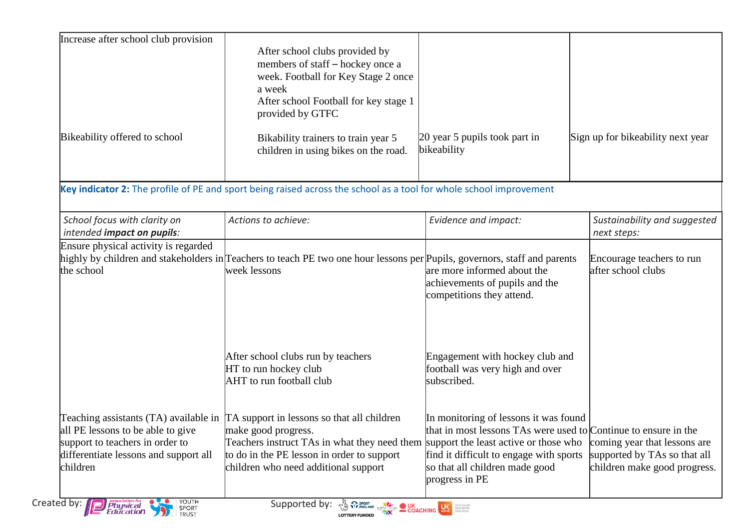| Increase after school club provision                                                                                      |                                                                                                                                                                                                                                                                                         |                                                                                                                                                                                       |                                                                                              |
|---------------------------------------------------------------------------------------------------------------------------|-----------------------------------------------------------------------------------------------------------------------------------------------------------------------------------------------------------------------------------------------------------------------------------------|---------------------------------------------------------------------------------------------------------------------------------------------------------------------------------------|----------------------------------------------------------------------------------------------|
|                                                                                                                           | After school clubs provided by<br>members of staff – hockey once a                                                                                                                                                                                                                      |                                                                                                                                                                                       |                                                                                              |
|                                                                                                                           | week. Football for Key Stage 2 once                                                                                                                                                                                                                                                     |                                                                                                                                                                                       |                                                                                              |
|                                                                                                                           | a week                                                                                                                                                                                                                                                                                  |                                                                                                                                                                                       |                                                                                              |
|                                                                                                                           | After school Football for key stage 1<br>provided by GTFC                                                                                                                                                                                                                               |                                                                                                                                                                                       |                                                                                              |
| Bikeability offered to school                                                                                             | Bikability trainers to train year 5<br>children in using bikes on the road.                                                                                                                                                                                                             | 20 year 5 pupils took part in<br>bikeability                                                                                                                                          | Sign up for bikeability next year                                                            |
|                                                                                                                           | Key indicator 2: The profile of PE and sport being raised across the school as a tool for whole school improvement                                                                                                                                                                      |                                                                                                                                                                                       |                                                                                              |
| School focus with clarity on<br>intended impact on pupils:                                                                | Actions to achieve:                                                                                                                                                                                                                                                                     | Evidence and impact:                                                                                                                                                                  | Sustainability and suggested<br>next steps:                                                  |
| Ensure physical activity is regarded<br>the school                                                                        | highly by children and stakeholders in Teachers to teach PE two one hour lessons per Pupils, governors, staff and parents<br>week lessons                                                                                                                                               | are more informed about the<br>achievements of pupils and the<br>competitions they attend.                                                                                            | Encourage teachers to run<br>after school clubs                                              |
|                                                                                                                           | After school clubs run by teachers<br>HT to run hockey club<br>AHT to run football club                                                                                                                                                                                                 | Engagement with hockey club and<br>football was very high and over<br>subscribed.                                                                                                     |                                                                                              |
| all PE lessons to be able to give<br>support to teachers in order to<br>differentiate lessons and support all<br>children | Teaching assistants $(TA)$ available in $TA$ support in lessons so that all children<br>make good progress.<br>Teachers instruct TAs in what they need them support the least active or those who<br>to do in the PE lesson in order to support<br>children who need additional support | In monitoring of lessons it was found<br>that in most lessons TAs were used to Continue to ensure in the<br>find it difficult to engage with sports<br>so that all children made good | coming year that lessons are<br>supported by TAs so that all<br>children make good progress. |
| YOUTH<br>Created by:<br><i>Physical</i><br>Education<br>SPORT<br>TRUST                                                    | Supported by:<br><b>EXECUTE OF SPORT CONCEPTION OF SPORT CONCEPTION CONCEPTION CONCEPTION CONCEPTION CONCEPTION CONCEPTION CONCEPTION CONCEPTION CONCEPTION CONCEPTION CONCEPTION CONCEPTION CONCEPTION CONCEPTION CONCEPTION CONCEPTION CONCEPTI</b><br><b>LOTTERY FUNDED</b>          | progress in PE                                                                                                                                                                        |                                                                                              |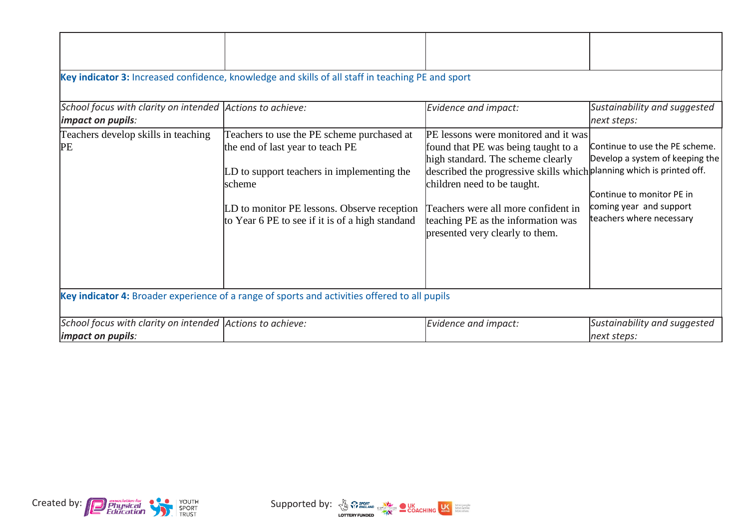| School focus with clarity on intended Actions to achieve:<br>impact on pupils:                | Key indicator 3: Increased confidence, knowledge and skills of all staff in teaching PE and sport                                                                                                                                         | Evidence and impact:                                                                                                                                                                                                                                                                                                                     | Sustainability and suggested<br>next steps:                                                                                                           |  |
|-----------------------------------------------------------------------------------------------|-------------------------------------------------------------------------------------------------------------------------------------------------------------------------------------------------------------------------------------------|------------------------------------------------------------------------------------------------------------------------------------------------------------------------------------------------------------------------------------------------------------------------------------------------------------------------------------------|-------------------------------------------------------------------------------------------------------------------------------------------------------|--|
| Teachers develop skills in teaching<br>PE                                                     | Teachers to use the PE scheme purchased at<br>the end of last year to teach PE<br>LD to support teachers in implementing the<br>lscheme<br>LD to monitor PE lessons. Observe reception<br>to Year 6 PE to see if it is of a high standand | PE lessons were monitored and it was<br>found that PE was being taught to a<br>high standard. The scheme clearly<br>described the progressive skills which planning which is printed off.<br>children need to be taught.<br>Teachers were all more confident in<br>teaching PE as the information was<br>presented very clearly to them. | Continue to use the PE scheme.<br>Develop a system of keeping the<br>Continue to monitor PE in<br>coming year and support<br>teachers where necessary |  |
| Key indicator 4: Broader experience of a range of sports and activities offered to all pupils |                                                                                                                                                                                                                                           |                                                                                                                                                                                                                                                                                                                                          |                                                                                                                                                       |  |
| School focus with clarity on intended Actions to achieve:<br>impact on pupils:                |                                                                                                                                                                                                                                           | Evidence and impact:                                                                                                                                                                                                                                                                                                                     | Sustainability and suggested<br>next steps:                                                                                                           |  |



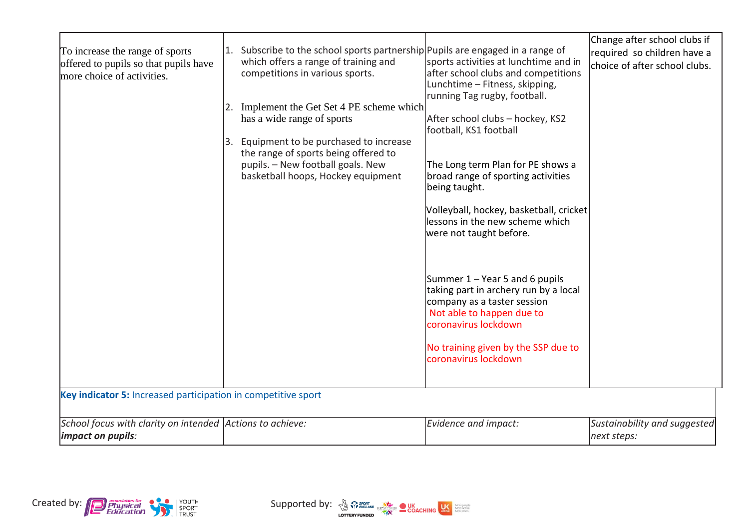| To increase the range of sports<br>offered to pupils so that pupils have<br>more choice of activities. | Subscribe to the school sports partnership Pupils are engaged in a range of<br>1.<br>which offers a range of training and<br>competitions in various sports.                                                                            | sports activities at lunchtime and in<br>after school clubs and competitions<br>Lunchtime - Fitness, skipping,<br>running Tag rugby, football.              | Change after school clubs if<br>required so children have a<br>choice of after school clubs. |
|--------------------------------------------------------------------------------------------------------|-----------------------------------------------------------------------------------------------------------------------------------------------------------------------------------------------------------------------------------------|-------------------------------------------------------------------------------------------------------------------------------------------------------------|----------------------------------------------------------------------------------------------|
|                                                                                                        | Implement the Get Set 4 PE scheme which<br>has a wide range of sports<br>Equipment to be purchased to increase<br>3.<br>the range of sports being offered to<br>pupils. - New football goals. New<br>basketball hoops, Hockey equipment | After school clubs - hockey, KS2<br>football, KS1 football<br>The Long term Plan for PE shows a<br>broad range of sporting activities<br>being taught.      |                                                                                              |
|                                                                                                        |                                                                                                                                                                                                                                         | Volleyball, hockey, basketball, cricket<br>lessons in the new scheme which<br>were not taught before.                                                       |                                                                                              |
|                                                                                                        |                                                                                                                                                                                                                                         | Summer 1 – Year 5 and 6 pupils<br>taking part in archery run by a local<br>company as a taster session<br>Not able to happen due to<br>coronavirus lockdown |                                                                                              |
|                                                                                                        |                                                                                                                                                                                                                                         | No training given by the SSP due to<br>coronavirus lockdown                                                                                                 |                                                                                              |
| Key indicator 5: Increased participation in competitive sport                                          |                                                                                                                                                                                                                                         |                                                                                                                                                             |                                                                                              |
| School focus with clarity on intended Actions to achieve:<br>impact on pupils:                         |                                                                                                                                                                                                                                         | Evidence and impact:                                                                                                                                        | Sustainability and suggested<br>next steps:                                                  |